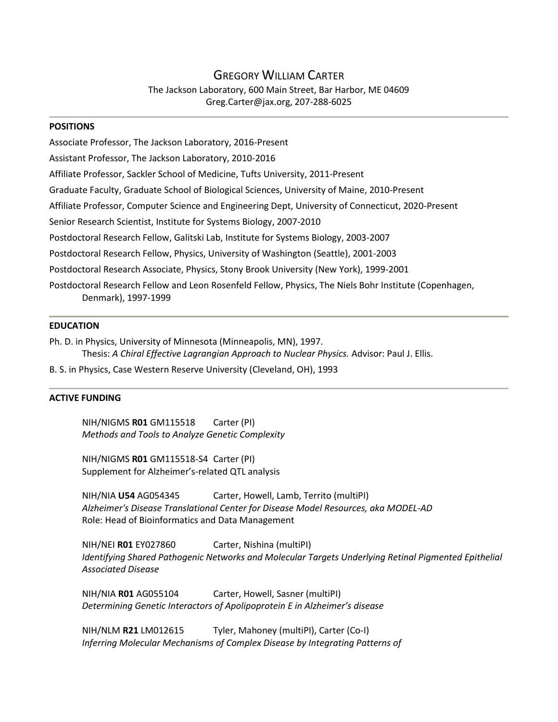# GREGORY WILLIAM CARTER

The Jackson Laboratory, 600 Main Street, Bar Harbor, ME 04609 Greg.Carter@jax.org, 207-288-6025

#### **POSITIONS**

Associate Professor, The Jackson Laboratory, 2016-Present Assistant Professor, The Jackson Laboratory, 2010-2016 Affiliate Professor, Sackler School of Medicine, Tufts University, 2011-Present Graduate Faculty, Graduate School of Biological Sciences, University of Maine, 2010-Present Affiliate Professor, Computer Science and Engineering Dept, University of Connecticut, 2020-Present Senior Research Scientist, Institute for Systems Biology, 2007-2010 Postdoctoral Research Fellow, Galitski Lab, Institute for Systems Biology, 2003-2007 Postdoctoral Research Fellow, Physics, University of Washington (Seattle), 2001-2003 Postdoctoral Research Associate, Physics, Stony Brook University (New York), 1999-2001 Postdoctoral Research Fellow and Leon Rosenfeld Fellow, Physics, The Niels Bohr Institute (Copenhagen, Denmark), 1997-1999

### **EDUCATION**

Ph. D. in Physics, University of Minnesota (Minneapolis, MN), 1997. Thesis: *A Chiral Effective Lagrangian Approach to Nuclear Physics.* Advisor: Paul J. Ellis.

B. S. in Physics, Case Western Reserve University (Cleveland, OH), 1993

### **ACTIVE FUNDING**

NIH/NIGMS **R01** GM115518 Carter (PI) *Methods and Tools to Analyze Genetic Complexity*

NIH/NIGMS **R01** GM115518-S4 Carter (PI) Supplement for Alzheimer's-related QTL analysis

NIH/NIA **U54** AG054345 Carter, Howell, Lamb, Territo (multiPI) *Alzheimer's Disease Translational Center for Disease Model Resources, aka MODEL-AD* Role: Head of Bioinformatics and Data Management

NIH/NEI **R01** EY027860 Carter, Nishina (multiPI) *Identifying Shared Pathogenic Networks and Molecular Targets Underlying Retinal Pigmented Epithelial Associated Disease*

NIH/NIA **R01** AG055104 Carter, Howell, Sasner (multiPI) *Determining Genetic Interactors of Apolipoprotein E in Alzheimer's disease*

NIH/NLM **R21** LM012615 Tyler, Mahoney (multiPI), Carter (Co-I) *Inferring Molecular Mechanisms of Complex Disease by Integrating Patterns of*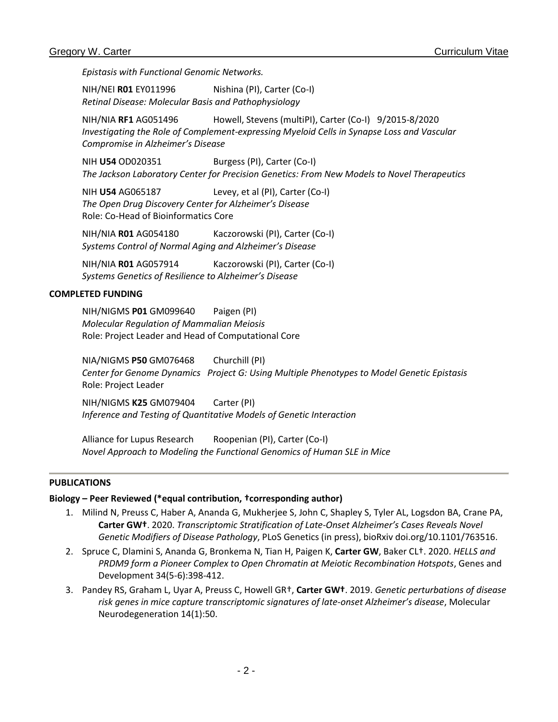*Epistasis with Functional Genomic Networks.* 

NIH/NEI **R01** EY011996 Nishina (PI), Carter (Co-I) *Retinal Disease: Molecular Basis and Pathophysiology*

NIH/NIA **RF1** AG051496 Howell, Stevens (multiPI), Carter (Co-I) 9/2015-8/2020 *Investigating the Role of Complement-expressing Myeloid Cells in Synapse Loss and Vascular Compromise in Alzheimer's Disease*

NIH **U54** OD020351 Burgess (PI), Carter (Co-I) *The Jackson Laboratory Center for Precision Genetics: From New Models to Novel Therapeutics*

NIH **U54** AG065187 Levey, et al (PI), Carter (Co-I) *The Open Drug Discovery Center for Alzheimer's Disease* Role: Co-Head of Bioinformatics Core

NIH/NIA **R01** AG054180 Kaczorowski (PI), Carter (Co-I) *Systems Control of Normal Aging and Alzheimer's Disease*

NIH/NIA **R01** AG057914 Kaczorowski (PI), Carter (Co-I) *Systems Genetics of Resilience to Alzheimer's Disease*

### **COMPLETED FUNDING**

NIH/NIGMS **P01** GM099640 Paigen (PI) *Molecular Regulation of Mammalian Meiosis* Role: Project Leader and Head of Computational Core

NIA/NIGMS **P50** GM076468 Churchill (PI) *Center for Genome Dynamics Project G: Using Multiple Phenotypes to Model Genetic Epistasis* Role: Project Leader

NIH/NIGMS **K25** GM079404 Carter (PI) *Inference and Testing of Quantitative Models of Genetic Interaction*

Alliance for Lupus Research Roopenian (PI), Carter (Co-I) *Novel Approach to Modeling the Functional Genomics of Human SLE in Mice*

# **PUBLICATIONS**

# **Biology – Peer Reviewed (\*equal contribution, †corresponding author)**

- 1. Milind N, Preuss C, Haber A, Ananda G, Mukherjee S, John C, Shapley S, Tyler AL, Logsdon BA, Crane PA, **Carter GW†**. 2020. *Transcriptomic Stratification of Late-Onset Alzheimer's Cases Reveals Novel Genetic Modifiers of Disease Pathology*, PLoS Genetics (in press), bioRxiv doi.org/10.1101/763516.
- 2. Spruce C, Dlamini S, Ananda G, Bronkema N, Tian H, Paigen K, **Carter GW**, Baker CL†. 2020. *HELLS and PRDM9 form a Pioneer Complex to Open Chromatin at Meiotic Recombination Hotspots*, Genes and Development 34(5-6):398-412.
- 3. Pandey RS, Graham L, Uyar A, Preuss C, Howell GR†, **Carter GW†**. 2019. *Genetic perturbations of disease risk genes in mice capture transcriptomic signatures of late-onset Alzheimer's disease*, Molecular Neurodegeneration 14(1):50.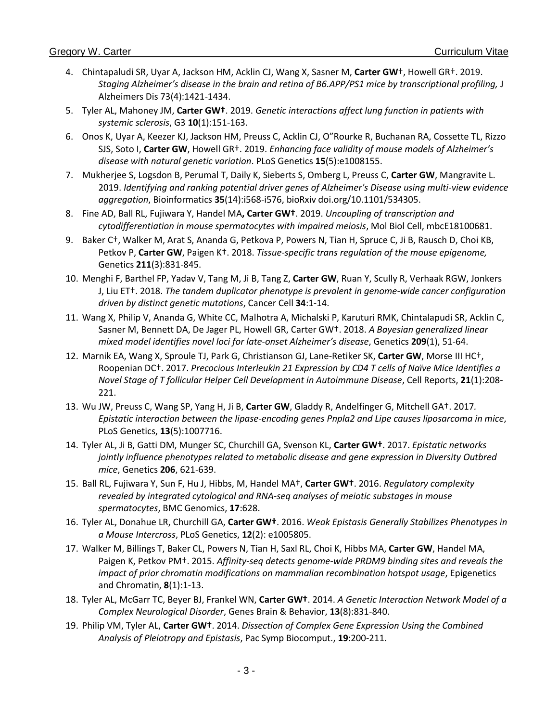- 4. Chintapaludi SR, Uyar A, Jackson HM, Acklin CJ, Wang X, Sasner M, **Carter GW**†, Howell GR†. 2019. *Staging Alzheimer's disease in the brain and retina of B6.APP/PS1 mice by transcriptional profiling,* J Alzheimers Dis 73(4):1421-1434.
- 5. Tyler AL, Mahoney JM, **Carter GW†**. 2019. *Genetic interactions affect lung function in patients with systemic sclerosis*, G3 **10**(1):151-163.
- 6. Onos K, Uyar A, Keezer KJ, Jackson HM, Preuss C, Acklin CJ, O"Rourke R, Buchanan RA, Cossette TL, Rizzo SJS, Soto I, **Carter GW**, Howell GR†. 2019. *Enhancing face validity of mouse models of Alzheimer's disease with natural genetic variation*. PLoS Genetics **15**(5):e1008155.
- 7. Mukherjee S, Logsdon B, Perumal T, Daily K, Sieberts S, Omberg L, Preuss C, **Carter GW**, Mangravite L. 2019. *Identifying and ranking potential driver genes of Alzheimer's Disease using multi-view evidence aggregation*, Bioinformatics **35**(14):i568-i576, bioRxiv doi.org/10.1101/534305.
- 8. Fine AD, Ball RL, Fujiwara Y, Handel MA**, Carter GW†**. 2019. *Uncoupling of transcription and cytodifferentiation in mouse spermatocytes with impaired meiosis*, Mol Biol Cell, mbcE18100681.
- 9. Baker C†, Walker M, Arat S, Ananda G, Petkova P, Powers N, Tian H, Spruce C, Ji B, Rausch D, Choi KB, Petkov P, **Carter GW**, Paigen K†. 2018. *Tissue-specific trans regulation of the mouse epigenome,*  Genetics **211**(3):831-845.
- 10. Menghi F, Barthel FP, Yadav V, Tang M, Ji B, Tang Z, **Carter GW**, Ruan Y, Scully R, Verhaak RGW, Jonkers J, Liu ET†. 2018. *The tandem duplicator phenotype is prevalent in genome-wide cancer configuration driven by distinct genetic mutations*, Cancer Cell **34**:1-14.
- 11. Wang X, Philip V, Ananda G, White CC, Malhotra A, Michalski P, Karuturi RMK, Chintalapudi SR, Acklin C, Sasner M, Bennett DA, De Jager PL, Howell GR, Carter GW†. 2018. *A Bayesian generalized linear mixed model identifies novel loci for late-onset Alzheimer's disease*, Genetics **209**(1), 51-64.
- 12. Marnik EA, Wang X, Sproule TJ, Park G, Christianson GJ, Lane-Retiker SK, **Carter GW**, Morse III HC†, Roopenian DC†. 2017. *Precocious Interleukin 21 Expression by CD4 T cells of Naïve Mice Identifies a Novel Stage of T follicular Helper Cell Development in Autoimmune Disease*, Cell Reports, **21**(1):208- 221.
- 13. Wu JW, Preuss C, Wang SP, Yang H, Ji B, **Carter GW**, Gladdy R, Andelfinger G, Mitchell GA†. 2017*. Epistatic interaction between the lipase-encoding genes Pnpla2 and Lipe causes liposarcoma in mice*, PLoS Genetics, **13**(5):1007716.
- 14. Tyler AL, Ji B, Gatti DM, Munger SC, Churchill GA, Svenson KL, **Carter GW†**. 2017. *Epistatic networks jointly influence phenotypes related to metabolic disease and gene expression in Diversity Outbred mice*, Genetics **206**, 621-639.
- 15. Ball RL, Fujiwara Y, Sun F, Hu J, Hibbs, M, Handel MA†, **Carter GW†**. 2016. *Regulatory complexity revealed by integrated cytological and RNA-seq analyses of meiotic substages in mouse spermatocytes*, BMC Genomics, **17**:628.
- 16. Tyler AL, Donahue LR, Churchill GA, **Carter GW†**. 2016. *Weak Epistasis Generally Stabilizes Phenotypes in a Mouse Intercross*, PLoS Genetics, **12**(2): e1005805.
- 17. Walker M, Billings T, Baker CL, Powers N, Tian H, Saxl RL, Choi K, Hibbs MA, **Carter GW**, Handel MA, Paigen K, Petkov PM†. 2015. *Affinity-seq detects genome-wide PRDM9 binding sites and reveals the impact of prior chromatin modifications on mammalian recombination hotspot usage*, Epigenetics and Chromatin, **8**(1):1-13.
- 18. Tyler AL, McGarr TC, Beyer BJ, Frankel WN, **Carter GW†**. 2014. *A Genetic Interaction Network Model of a Complex Neurological Disorder*, Genes Brain & Behavior, **13**(8):831-840.
- 19. Philip VM, Tyler AL, **Carter GW†**. 2014. *Dissection of Complex Gene Expression Using the Combined Analysis of Pleiotropy and Epistasis*, Pac Symp Biocomput., **19**:200-211.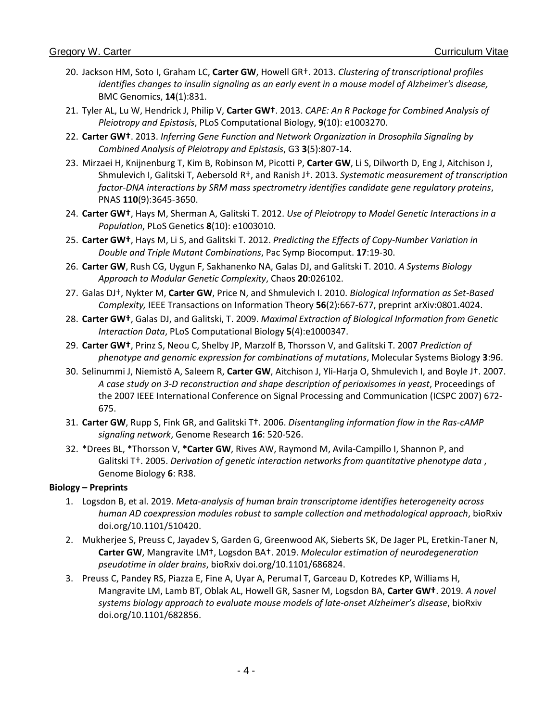- 20. Jackson HM, Soto I, Graham LC, **Carter GW**, Howell GR†. 2013. *Clustering of transcriptional profiles identifies changes to insulin signaling as an early event in a mouse model of Alzheimer's disease,*  BMC Genomics, **14**(1):831.
- 21. Tyler AL, Lu W, Hendrick J, Philip V, **Carter GW†**. 2013. *CAPE: An R Package for Combined Analysis of Pleiotropy and Epistasis*, PLoS Computational Biology, **9**(10): e1003270.
- 22. **Carter GW†**. 2013. *Inferring Gene Function and Network Organization in Drosophila Signaling by Combined Analysis of Pleiotropy and Epistasis*, G3 **3**(5):807-14.
- 23. Mirzaei H, Knijnenburg T, Kim B, Robinson M, Picotti P, **Carter GW**, Li S, Dilworth D, Eng J, Aitchison J, Shmulevich I, Galitski T, Aebersold R†, and Ranish J†. 2013. *Systematic measurement of transcription factor-DNA interactions by SRM mass spectrometry identifies candidate gene regulatory proteins*, PNAS **110**(9):3645-3650.
- 24. **Carter GW†**, Hays M, Sherman A, Galitski T. 2012. *Use of Pleiotropy to Model Genetic Interactions in a Population*, PLoS Genetics **8**(10): e1003010.
- 25. **Carter GW†**, Hays M, Li S, and Galitski T*.* 2012. *Predicting the Effects of Copy-Number Variation in Double and Triple Mutant Combinations*, Pac Symp Biocomput. **17**:19-30.
- 26. **Carter GW**, Rush CG, Uygun F, Sakhanenko NA, Galas DJ, and Galitski T. 2010. *A Systems Biology Approach to Modular Genetic Complexity*, Chaos **20**:026102.
- 27. Galas DJ†, Nykter M, **Carter GW**, Price N, and Shmulevich I. 2010. *Biological Information as Set-Based Complexity,* IEEE Transactions on Information Theory **56**(2):667-677, preprint arXiv:0801.4024.
- 28. **Carter GW†**, Galas DJ, and Galitski, T. 2009. *Maximal Extraction of Biological Information from Genetic Interaction Data*, PLoS Computational Biology **5**(4):e1000347.
- 29. **Carter GW†**, Prinz S, Neou C, Shelby JP, Marzolf B, Thorsson V, and Galitski T. 2007 *Prediction of phenotype and genomic expression for combinations of mutations*, Molecular Systems Biology **3**:96.
- 30. Selinummi J, Niemistö A, Saleem R, **Carter GW**, Aitchison J, Yli-Harja O, Shmulevich I, and Boyle J†. 2007. *A case study on 3-D reconstruction and shape description of perioxisomes in yeast*, Proceedings of the 2007 IEEE International Conference on Signal Processing and Communication (ICSPC 2007) 672- 675.
- 31. **Carter GW**, Rupp S, Fink GR, and Galitski T†. 2006. *Disentangling information flow in the Ras-cAMP signaling network*, Genome Research **16**: 520-526.
- 32. \*Drees BL, \*Thorsson V, **\*Carter GW**, Rives AW, Raymond M, Avila-Campillo I, Shannon P, and Galitski T†. 2005. *Derivation of genetic interaction networks from quantitative phenotype data* , Genome Biology **6**: R38.

# **Biology – Preprints**

- 1. Logsdon B, et al. 2019. *Meta-analysis of human brain transcriptome identifies heterogeneity across human AD coexpression modules robust to sample collection and methodological approach*, bioRxiv doi.org/10.1101/510420.
- 2. Mukherjee S, Preuss C, Jayadev S, Garden G, Greenwood AK, Sieberts SK, De Jager PL, Eretkin-Taner N, **Carter GW**, Mangravite LM†, Logsdon BA†. 2019. *Molecular estimation of neurodegeneration pseudotime in older brains*, bioRxiv doi.org/10.1101/686824.
- 3. Preuss C, Pandey RS, Piazza E, Fine A, Uyar A, Perumal T, Garceau D, Kotredes KP, Williams H, Mangravite LM, Lamb BT, Oblak AL, Howell GR, Sasner M, Logsdon BA, **Carter GW†**. 2019*. A novel systems biology approach to evaluate mouse models of late-onset Alzheimer's disease*, bioRxiv doi.org/10.1101/682856.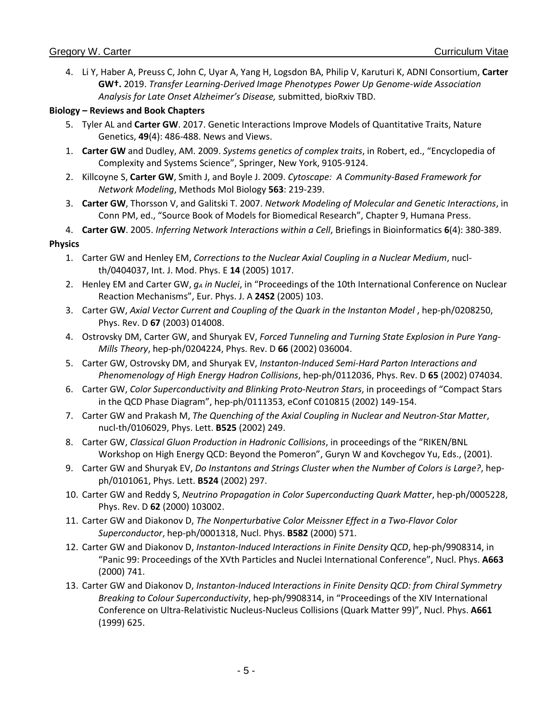4. Li Y, Haber A, Preuss C, John C, Uyar A, Yang H, Logsdon BA, Philip V, Karuturi K, ADNI Consortium, **Carter GW†.** 2019. *Transfer Learning-Derived Image Phenotypes Power Up Genome-wide Association Analysis for Late Onset Alzheimer's Disease,* submitted, bioRxiv TBD.

# **Biology – Reviews and Book Chapters**

- 5. Tyler AL and **Carter GW**. 2017. Genetic Interactions Improve Models of Quantitative Traits, Nature Genetics, **49**(4): 486-488. News and Views.
- 1. **Carter GW** and Dudley, AM. 2009. *Systems genetics of complex traits*, in Robert, ed., "Encyclopedia of Complexity and Systems Science", Springer, New York, 9105-9124.
- 2. Killcoyne S, **Carter GW**, Smith J, and Boyle J. 2009. *Cytoscape: A Community-Based Framework for Network Modeling*, Methods Mol Biology **563**: 219-239.
- 3. **Carter GW**, Thorsson V, and Galitski T. 2007. *Network Modeling of Molecular and Genetic Interactions*, in Conn PM, ed., "Source Book of Models for Biomedical Research", Chapter 9, Humana Press.
- 4. **Carter GW**. 2005. *Inferring Network Interactions within a Cell*, Briefings in Bioinformatics **6**(4): 380-389.

# **Physics**

- 1. Carter GW and Henley EM, *Corrections to the Nuclear Axial Coupling in a Nuclear Medium*, nuclth/0404037, Int. J. Mod. Phys. E **14** (2005) 1017.
- 2. Henley EM and Carter GW, *g<sup>A</sup> in Nuclei*, in "Proceedings of the 10th International Conference on Nuclear Reaction Mechanisms", Eur. Phys. J. A **24S2** (2005) 103.
- 3. Carter GW, Axial Vector Current and Coupling of the Quark in the Instanton Model, hep-ph/0208250, Phys. Rev. D **67** (2003) 014008.
- 4. Ostrovsky DM, Carter GW, and Shuryak EV, *Forced Tunneling and Turning State Explosion in Pure Yang-Mills Theory*, hep-ph/0204224, Phys. Rev. D **66** (2002) 036004.
- 5. Carter GW, Ostrovsky DM, and Shuryak EV, *Instanton-Induced Semi-Hard Parton Interactions and Phenomenology of High Energy Hadron Collisions*, hep-ph/0112036, Phys. Rev. D **65** (2002) 074034.
- 6. Carter GW, *Color Superconductivity and Blinking Proto-Neutron Stars*, in proceedings of "Compact Stars in the QCD Phase Diagram", hep-ph/0111353, eConf C010815 (2002) 149-154.
- 7. Carter GW and Prakash M, *The Quenching of the Axial Coupling in Nuclear and Neutron-Star Matter*, nucl-th/0106029, Phys. Lett. **B525** (2002) 249.
- 8. Carter GW, *Classical Gluon Production in Hadronic Collisions*, in proceedings of the "RIKEN/BNL Workshop on High Energy QCD: Beyond the Pomeron", Guryn W and Kovchegov Yu, Eds., (2001).
- 9. Carter GW and Shuryak EV, *Do Instantons and Strings Cluster when the Number of Colors is Large?*, hepph/0101061, Phys. Lett. **B524** (2002) 297.
- 10. Carter GW and Reddy S, *Neutrino Propagation in Color Superconducting Quark Matter*, hep-ph/0005228, Phys. Rev. D **62** (2000) 103002.
- 11. Carter GW and Diakonov D, *The Nonperturbative Color Meissner Effect in a Two-Flavor Color Superconductor*, hep-ph/0001318, Nucl. Phys. **B582** (2000) 571.
- 12. Carter GW and Diakonov D, *Instanton-Induced Interactions in Finite Density QCD*, hep-ph/9908314, in "Panic 99: Proceedings of the XVth Particles and Nuclei International Conference", Nucl. Phys. **A663** (2000) 741.
- 13. Carter GW and Diakonov D, *Instanton-Induced Interactions in Finite Density QCD: from Chiral Symmetry Breaking to Colour Superconductivity*, hep-ph/9908314, in "Proceedings of the XIV International Conference on Ultra-Relativistic Nucleus-Nucleus Collisions (Quark Matter 99)", Nucl. Phys. **A661** (1999) 625.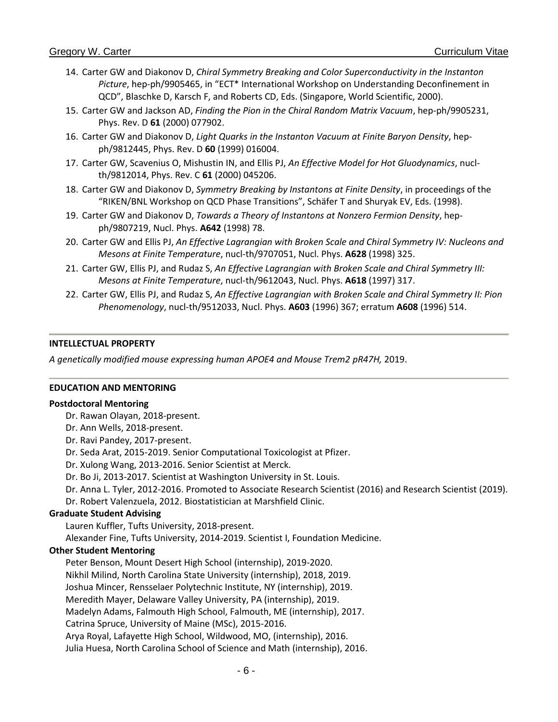- 14. Carter GW and Diakonov D, *Chiral Symmetry Breaking and Color Superconductivity in the Instanton Picture*, hep-ph/9905465, in "ECT\* International Workshop on Understanding Deconfinement in QCD", Blaschke D, Karsch F, and Roberts CD, Eds. (Singapore, World Scientific, 2000).
- 15. Carter GW and Jackson AD, *Finding the Pion in the Chiral Random Matrix Vacuum*, hep-ph/9905231, Phys. Rev. D **61** (2000) 077902.
- 16. Carter GW and Diakonov D, *Light Quarks in the Instanton Vacuum at Finite Baryon Density*, hepph/9812445, Phys. Rev. D **60** (1999) 016004.
- 17. Carter GW, Scavenius O, Mishustin IN, and Ellis PJ, *An Effective Model for Hot Gluodynamics*, nuclth/9812014, Phys. Rev. C **61** (2000) 045206.
- 18. Carter GW and Diakonov D, *Symmetry Breaking by Instantons at Finite Density*, in proceedings of the "RIKEN/BNL Workshop on QCD Phase Transitions", Schäfer T and Shuryak EV, Eds. (1998).
- 19. Carter GW and Diakonov D, *Towards a Theory of Instantons at Nonzero Fermion Density*, hepph/9807219, Nucl. Phys. **A642** (1998) 78.
- 20. Carter GW and Ellis PJ, *An Effective Lagrangian with Broken Scale and Chiral Symmetry IV: Nucleons and Mesons at Finite Temperature*, nucl-th/9707051, Nucl. Phys. **A628** (1998) 325.
- 21. Carter GW, Ellis PJ, and Rudaz S, *An Effective Lagrangian with Broken Scale and Chiral Symmetry III: Mesons at Finite Temperature*, nucl-th/9612043, Nucl. Phys. **A618** (1997) 317.
- 22. Carter GW, Ellis PJ, and Rudaz S, *An Effective Lagrangian with Broken Scale and Chiral Symmetry II: Pion Phenomenology*, nucl-th/9512033, Nucl. Phys. **A603** (1996) 367; erratum **A608** (1996) 514.

### **INTELLECTUAL PROPERTY**

*A genetically modified mouse expressing human APOE4 and Mouse Trem2 pR47H,* 2019.

### **EDUCATION AND MENTORING**

### **Postdoctoral Mentoring**

- Dr. Rawan Olayan, 2018-present.
- Dr. Ann Wells, 2018-present.
- Dr. Ravi Pandey, 2017-present.
- Dr. Seda Arat, 2015-2019. Senior Computational Toxicologist at Pfizer.

Dr. Xulong Wang, 2013-2016. Senior Scientist at Merck.

- Dr. Bo Ji, 2013-2017. Scientist at Washington University in St. Louis.
- Dr. Anna L. Tyler, 2012-2016. Promoted to Associate Research Scientist (2016) and Research Scientist (2019).
- Dr. Robert Valenzuela, 2012. Biostatistician at Marshfield Clinic.

### **Graduate Student Advising**

Lauren Kuffler, Tufts University, 2018-present.

Alexander Fine, Tufts University, 2014-2019. Scientist I, Foundation Medicine.

# **Other Student Mentoring**

Peter Benson, Mount Desert High School (internship), 2019-2020.

Nikhil Milind, North Carolina State University (internship), 2018, 2019.

Joshua Mincer, Rensselaer Polytechnic Institute, NY (internship), 2019.

Meredith Mayer, Delaware Valley University, PA (internship), 2019.

Madelyn Adams, Falmouth High School, Falmouth, ME (internship), 2017.

Catrina Spruce, University of Maine (MSc), 2015-2016.

Arya Royal, Lafayette High School, Wildwood, MO, (internship), 2016.

Julia Huesa, North Carolina School of Science and Math (internship), 2016.